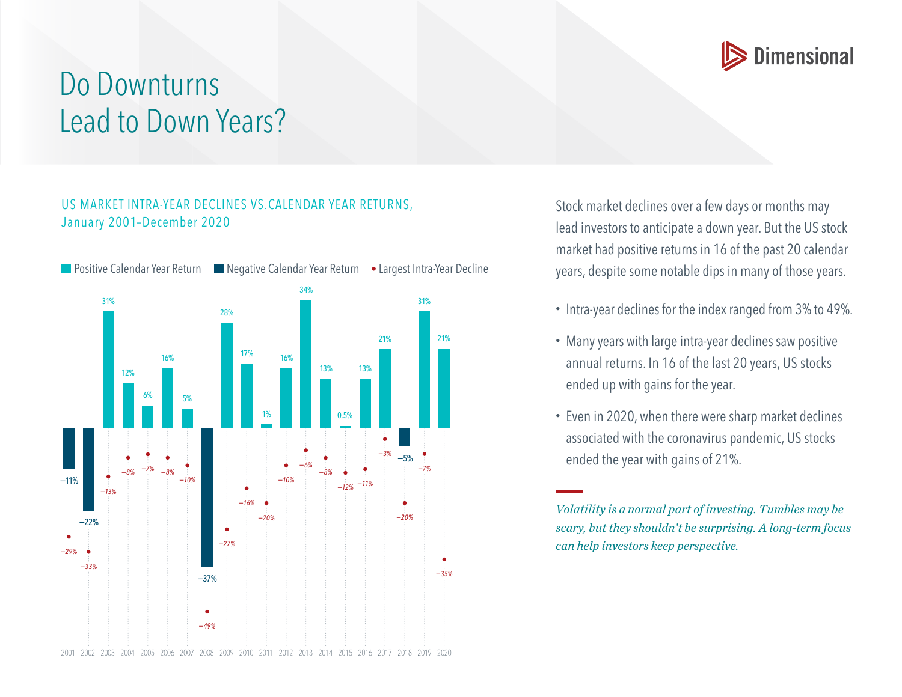

## Do Downturns Lead to Down Years?

## US MARKET INTRA-YEAR DECLINES VS.CALENDAR YEAR RETURNS, January 2001–December 2020



Stock market declines over a few days or months may lead investors to anticipate a down year. But the US stock market had positive returns in 16 of the past 20 calendar years, despite some notable dips in many of those years.

- Intra-year declines for the index ranged from 3% to 49%.
- Many years with large intra-year declines saw positive annual returns. In 16 of the last 20 years, US stocks ended up with gains for the year.
- Even in 2020, when there were sharp market declines associated with the coronavirus pandemic, US stocks ended the year with gains of 21%.

*Volatility is a normal part of investing. Tumbles may be scary, but they shouldn't be surprising. A long-term focus can help investors keep perspective.*